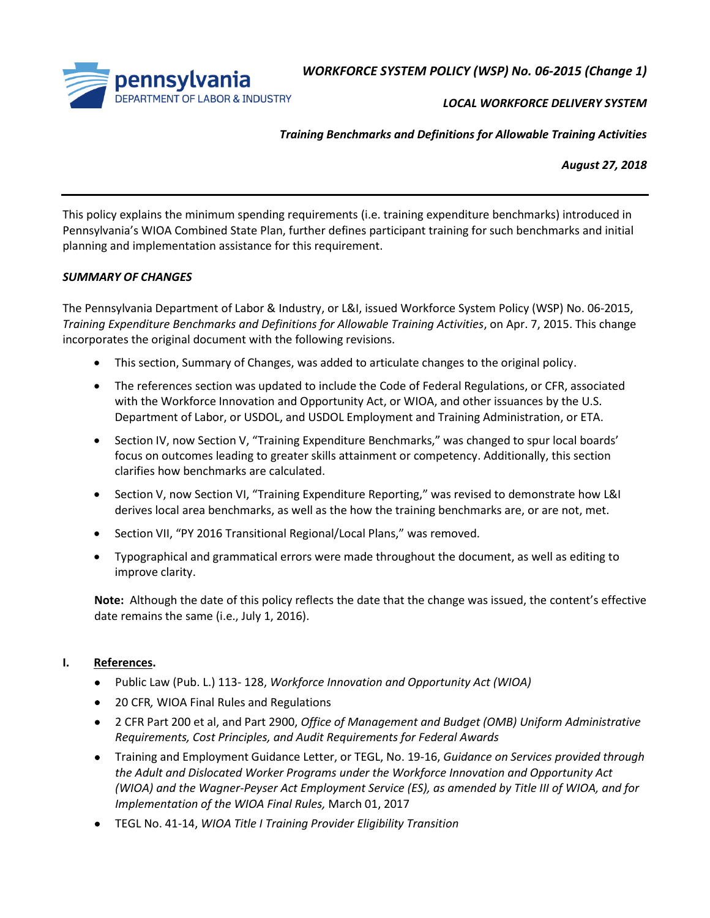

*WORKFORCE SYSTEM POLICY (WSP) No. 06-2015 (Change 1)*

*LOCAL WORKFORCE DELIVERY SYSTEM*

*Training Benchmarks and Definitions for Allowable Training Activities*

*August 27, 2018*

This policy explains the minimum spending requirements (i.e. training expenditure benchmarks) introduced in Pennsylvania's WIOA Combined State Plan, further defines participant training for such benchmarks and initial planning and implementation assistance for this requirement.

#### *SUMMARY OF CHANGES*

The Pennsylvania Department of Labor & Industry, or L&I, issued Workforce System Policy (WSP) No. 06-2015, *Training Expenditure Benchmarks and Definitions for Allowable Training Activities*, on Apr. 7, 2015. This change incorporates the original document with the following revisions.

- This section, Summary of Changes, was added to articulate changes to the original policy.
- The references section was updated to include the Code of Federal Regulations, or CFR, associated with the Workforce Innovation and Opportunity Act, or WIOA, and other issuances by the U.S. Department of Labor, or USDOL, and USDOL Employment and Training Administration, or ETA.
- Section IV, now Section V, "Training Expenditure Benchmarks," was changed to spur local boards' focus on outcomes leading to greater skills attainment or competency. Additionally, this section clarifies how benchmarks are calculated.
- Section V, now Section VI, "Training Expenditure Reporting," was revised to demonstrate how L&I derives local area benchmarks, as well as the how the training benchmarks are, or are not, met.
- Section VII, "PY 2016 Transitional Regional/Local Plans," was removed.
- Typographical and grammatical errors were made throughout the document, as well as editing to improve clarity.

**Note:** Although the date of this policy reflects the date that the change was issued, the content's effective date remains the same (i.e., July 1, 2016).

## **I. References.**

- Public Law (Pub. L.) 113- 128, *Workforce Innovation and Opportunity Act (WIOA)*
- 20 CFR*,* WIOA Final Rules and Regulations
- 2 CFR Part 200 et al, and Part 2900, *Office of Management and Budget (OMB) Uniform Administrative Requirements, Cost Principles, and Audit Requirements for Federal Awards*
- Training and Employment Guidance Letter, or TEGL, No. 19-16, *Guidance on Services provided through the Adult and Dislocated Worker Programs under the Workforce Innovation and Opportunity Act (WIOA) and the Wagner-Peyser Act Employment Service (ES), as amended by Title III of WIOA, and for Implementation of the WIOA Final Rules,* March 01, 2017
- TEGL No. 41-14, *WIOA Title I Training Provider Eligibility Transition*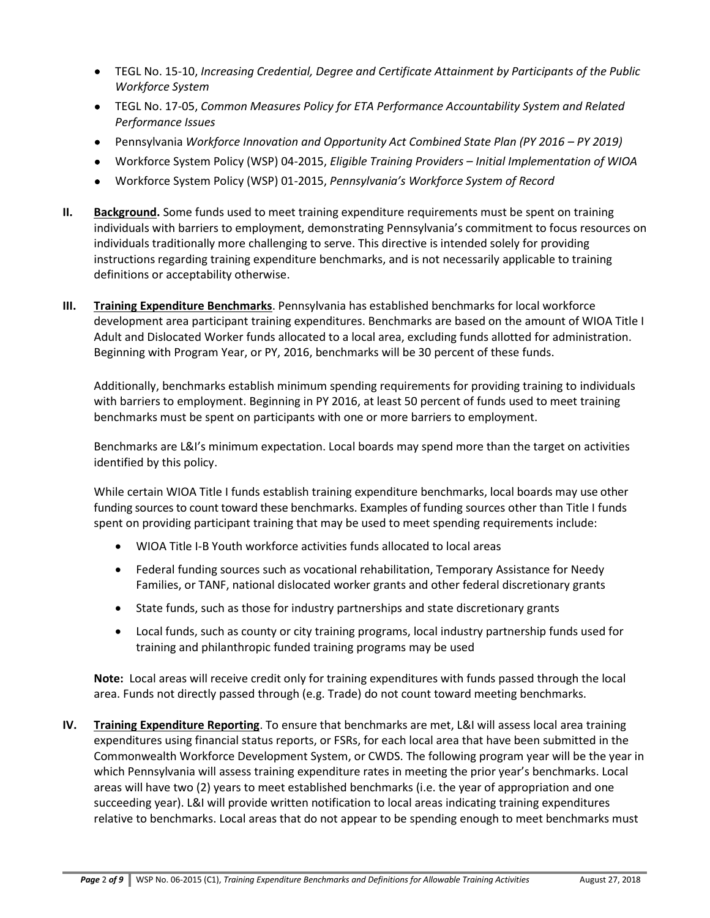- TEGL No. 15-10, *Increasing Credential, Degree and Certificate Attainment by Participants of the Public Workforce System*
- TEGL No. 17-05, *Common Measures Policy for ETA Performance Accountability System and Related Performance Issues*
- Pennsylvania *Workforce Innovation and Opportunity Act Combined State Plan (PY 2016 – PY 2019)*
- Workforce System Policy (WSP) 04-2015, *Eligible Training Providers – Initial Implementation of WIOA*
- Workforce System Policy (WSP) 01-2015, *Pennsylvania's Workforce System of Record*
- **II. Background.** Some funds used to meet training expenditure requirements must be spent on training individuals with barriers to employment, demonstrating Pennsylvania's commitment to focus resources on individuals traditionally more challenging to serve. This directive is intended solely for providing instructions regarding training expenditure benchmarks, and is not necessarily applicable to training definitions or acceptability otherwise.
- **III. Training Expenditure Benchmarks**. Pennsylvania has established benchmarks for local workforce development area participant training expenditures. Benchmarks are based on the amount of WIOA Title I Adult and Dislocated Worker funds allocated to a local area, excluding funds allotted for administration. Beginning with Program Year, or PY, 2016, benchmarks will be 30 percent of these funds.

Additionally, benchmarks establish minimum spending requirements for providing training to individuals with barriers to employment. Beginning in PY 2016, at least 50 percent of funds used to meet training benchmarks must be spent on participants with one or more barriers to employment.

Benchmarks are L&I's minimum expectation. Local boards may spend more than the target on activities identified by this policy.

While certain WIOA Title I funds establish training expenditure benchmarks, local boards may use other funding sources to count toward these benchmarks. Examples of funding sources other than Title I funds spent on providing participant training that may be used to meet spending requirements include:

- WIOA Title I-B Youth workforce activities funds allocated to local areas
- Federal funding sources such as vocational rehabilitation, Temporary Assistance for Needy Families, or TANF, national dislocated worker grants and other federal discretionary grants
- State funds, such as those for industry partnerships and state discretionary grants
- Local funds, such as county or city training programs, local industry partnership funds used for training and philanthropic funded training programs may be used

**Note:**Local areas will receive credit only for training expenditures with funds passed through the local area. Funds not directly passed through (e.g. Trade) do not count toward meeting benchmarks.

**IV. Training Expenditure Reporting**. To ensure that benchmarks are met, L&I will assess local area training expenditures using financial status reports, or FSRs, for each local area that have been submitted in the Commonwealth Workforce Development System, or CWDS. The following program year will be the year in which Pennsylvania will assess training expenditure rates in meeting the prior year's benchmarks. Local areas will have two (2) years to meet established benchmarks (i.e. the year of appropriation and one succeeding year). L&I will provide written notification to local areas indicating training expenditures relative to benchmarks. Local areas that do not appear to be spending enough to meet benchmarks must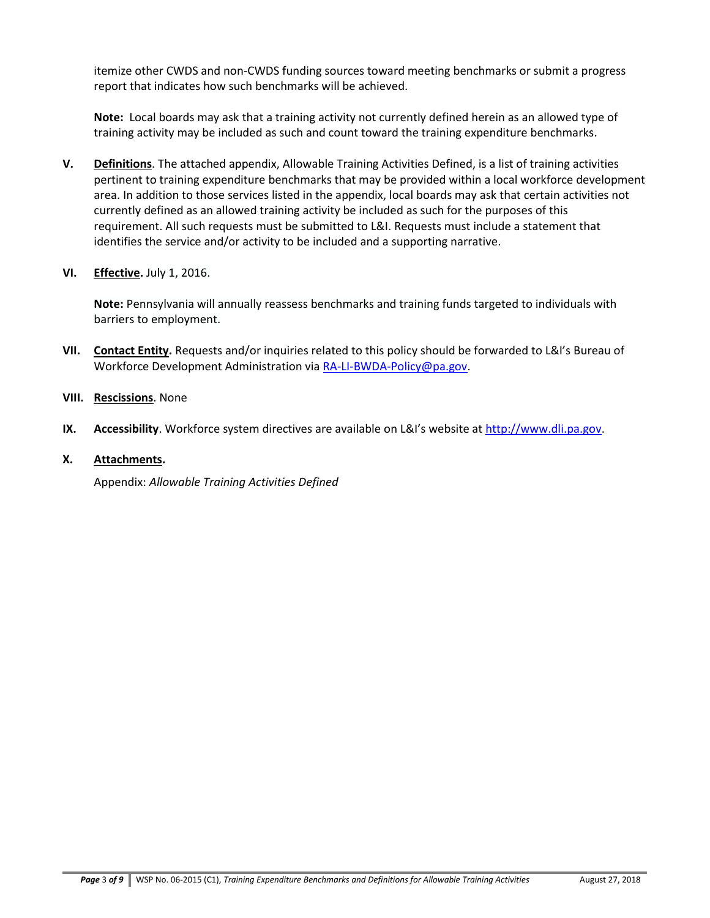itemize other CWDS and non-CWDS funding sources toward meeting benchmarks or submit a progress report that indicates how such benchmarks will be achieved.

**Note:** Local boards may ask that a training activity not currently defined herein as an allowed type of training activity may be included as such and count toward the training expenditure benchmarks.

- **V. Definitions**. The attached appendix, Allowable Training Activities Defined, is a list of training activities pertinent to training expenditure benchmarks that may be provided within a local workforce development area. In addition to those services listed in the appendix, local boards may ask that certain activities not currently defined as an allowed training activity be included as such for the purposes of this requirement. All such requests must be submitted to L&I. Requests must include a statement that identifies the service and/or activity to be included and a supporting narrative.
- **VI. Effective.** July 1, 2016.

**Note:** Pennsylvania will annually reassess benchmarks and training funds targeted to individuals with barriers to employment.

- **VII. Contact Entity.** Requests and/or inquiries related to this policy should be forwarded to L&I's Bureau of Workforce Development Administration via [RA-LI-BWDA-Policy@pa.gov.](mailto:RA-LI-BWDA-Policy@pa.gov)
- **VIII. Rescissions**. None
- **IX. Accessibility**. Workforce system directives are available on L&I's website a[t http://www.dli.pa.gov.](http://www.dli.pa.gov/Businesses/Workforce-Development/Pages/Pennsylvania)
- **X. Attachments.**

Appendix: *Allowable Training Activities Defined*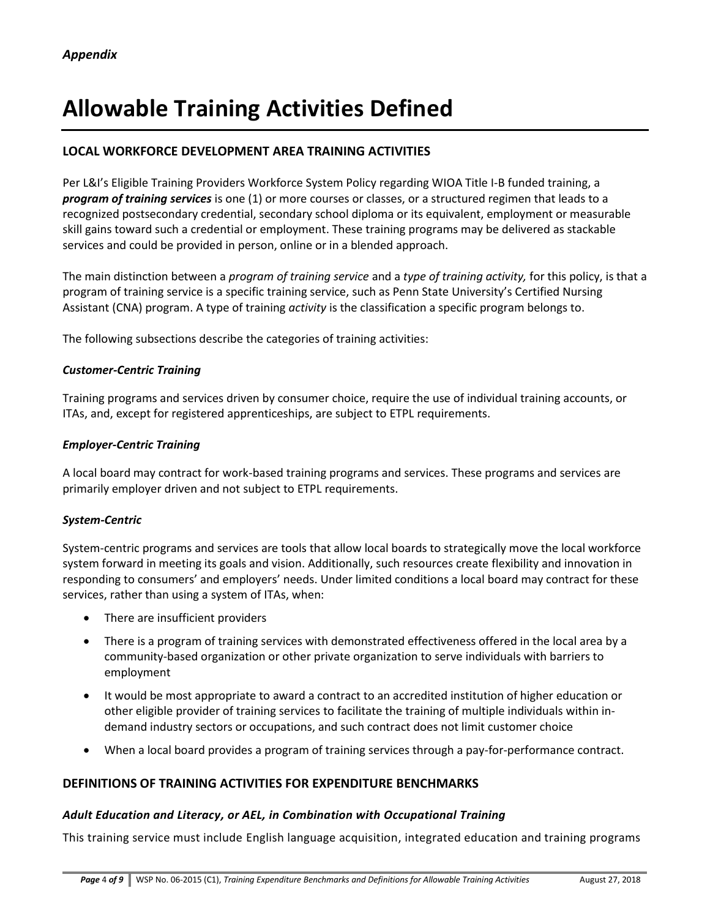# **Allowable Training Activities Defined**

## **LOCAL WORKFORCE DEVELOPMENT AREA TRAINING ACTIVITIES**

Per L&I's Eligible Training Providers Workforce System Policy regarding WIOA Title I-B funded training, a *program of training services* is one (1) or more courses or classes, or a structured regimen that leads to a recognized postsecondary credential, secondary school diploma or its equivalent, employment or measurable skill gains toward such a credential or employment. These training programs may be delivered as stackable services and could be provided in person, online or in a blended approach.

The main distinction between a *program of training service* and a *type of training activity,* for this policy, is that a program of training service is a specific training service, such as Penn State University's Certified Nursing Assistant (CNA) program. A type of training *activity* is the classification a specific program belongs to.

The following subsections describe the categories of training activities:

#### *Customer-Centric Training*

Training programs and services driven by consumer choice, require the use of individual training accounts, or ITAs, and, except for registered apprenticeships, are subject to ETPL requirements.

#### *Employer-Centric Training*

A local board may contract for work-based training programs and services. These programs and services are primarily employer driven and not subject to ETPL requirements.

#### *System-Centric*

System-centric programs and services are tools that allow local boards to strategically move the local workforce system forward in meeting its goals and vision. Additionally, such resources create flexibility and innovation in responding to consumers' and employers' needs. Under limited conditions a local board may contract for these services, rather than using a system of ITAs, when:

- There are insufficient providers
- There is a program of training services with demonstrated effectiveness offered in the local area by a community-based organization or other private organization to serve individuals with barriers to employment
- It would be most appropriate to award a contract to an accredited institution of higher education or other eligible provider of training services to facilitate the training of multiple individuals within indemand industry sectors or occupations, and such contract does not limit customer choice
- When a local board provides a program of training services through a pay-for-performance contract.

## **DEFINITIONS OF TRAINING ACTIVITIES FOR EXPENDITURE BENCHMARKS**

#### *Adult Education and Literacy, or AEL, in Combination with Occupational Training*

This training service must include English language acquisition, integrated education and training programs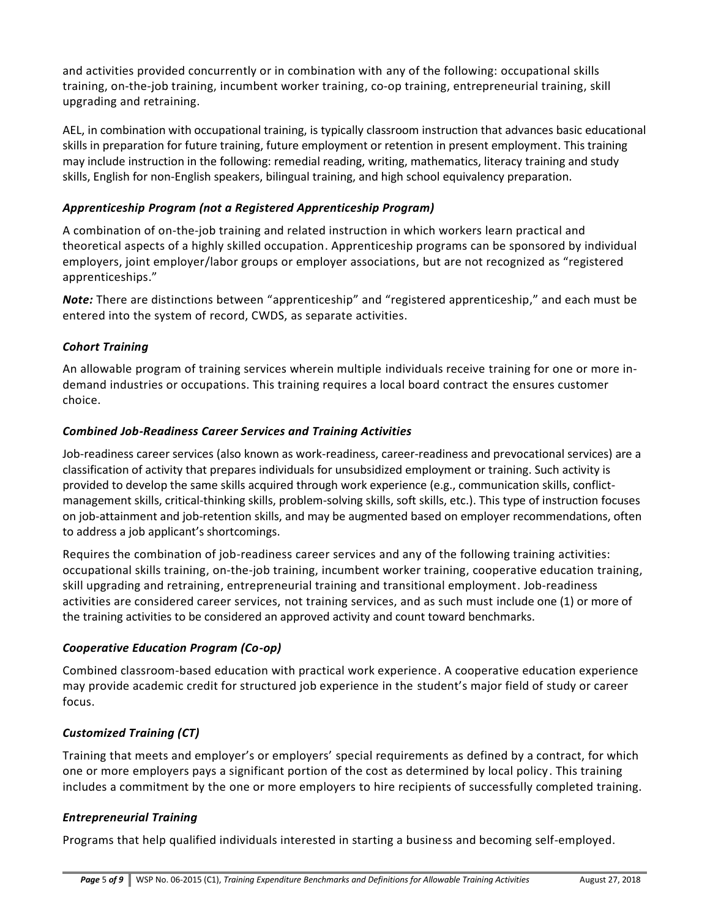and activities provided concurrently or in combination with any of the following: occupational skills training, on-the-job training, incumbent worker training, co-op training, entrepreneurial training, skill upgrading and retraining.

AEL, in combination with occupational training, is typically classroom instruction that advances basic educational skills in preparation for future training, future employment or retention in present employment. This training may include instruction in the following: remedial reading, writing, mathematics, literacy training and study skills, English for non-English speakers, bilingual training, and high school equivalency preparation.

## *Apprenticeship Program (not a Registered Apprenticeship Program)*

A combination of on-the-job training and related instruction in which workers learn practical and theoretical aspects of a highly skilled occupation. Apprenticeship programs can be sponsored by individual employers, joint employer/labor groups or employer associations, but are not recognized as "registered apprenticeships."

*Note:* There are distinctions between "apprenticeship" and "registered apprenticeship," and each must be entered into the system of record, CWDS, as separate activities.

# *Cohort Training*

An allowable program of training services wherein multiple individuals receive training for one or more indemand industries or occupations. This training requires a local board contract the ensures customer choice.

# *Combined Job-Readiness Career Services and Training Activities*

Job-readiness career services (also known as work-readiness, career-readiness and prevocational services) are a classification of activity that prepares individuals for unsubsidized employment or training. Such activity is provided to develop the same skills acquired through work experience (e.g., communication skills, conflictmanagement skills, critical-thinking skills, problem-solving skills, soft skills, etc.). This type of instruction focuses on job-attainment and job-retention skills, and may be augmented based on employer recommendations, often to address a job applicant's shortcomings.

Requires the combination of job-readiness career services and any of the following training activities: occupational skills training, on-the-job training, incumbent worker training, cooperative education training, skill upgrading and retraining, entrepreneurial training and transitional employment. Job-readiness activities are considered career services, not training services, and as such must include one (1) or more of the training activities to be considered an approved activity and count toward benchmarks.

# *Cooperative Education Program (Co-op)*

Combined classroom-based education with practical work experience. A cooperative education experience may provide academic credit for structured job experience in the student's major field of study or career focus.

# *Customized Training (CT)*

Training that meets and employer's or employers' special requirements as defined by a contract, for which one or more employers pays a significant portion of the cost as determined by local policy. This training includes a commitment by the one or more employers to hire recipients of successfully completed training.

## *Entrepreneurial Training*

Programs that help qualified individuals interested in starting a business and becoming self-employed.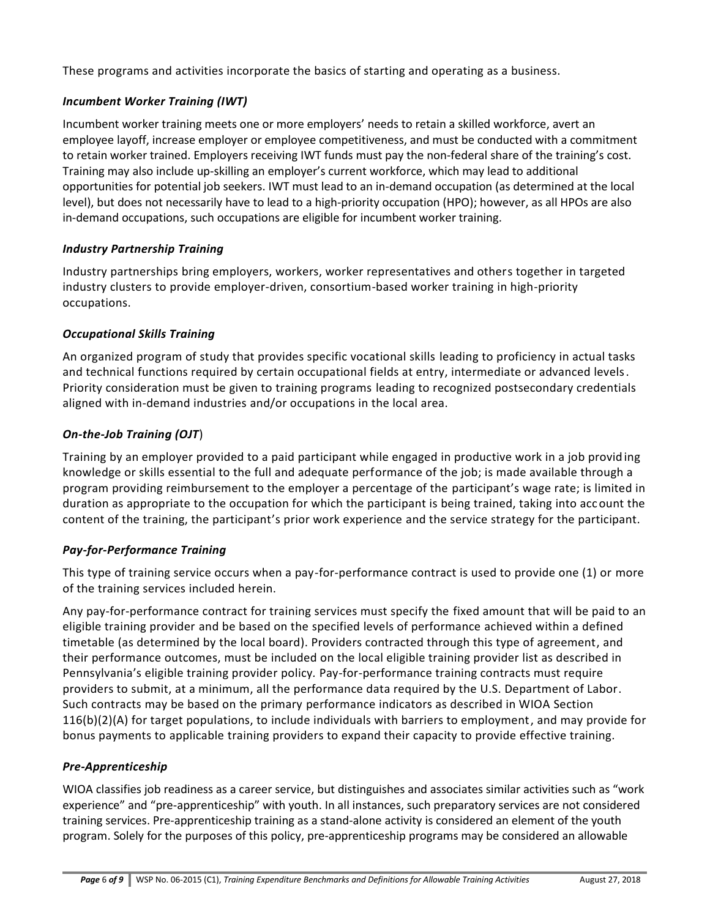These programs and activities incorporate the basics of starting and operating as a business.

## *Incumbent Worker Training (IWT)*

Incumbent worker training meets one or more employers' needs to retain a skilled workforce, avert an employee layoff, increase employer or employee competitiveness, and must be conducted with a commitment to retain worker trained. Employers receiving IWT funds must pay the non-federal share of the training's cost. Training may also include up-skilling an employer's current workforce, which may lead to additional opportunities for potential job seekers. IWT must lead to an in-demand occupation (as determined at the local level), but does not necessarily have to lead to a high-priority occupation (HPO); however, as all HPOs are also in-demand occupations, such occupations are eligible for incumbent worker training.

## *Industry Partnership Training*

Industry partnerships bring employers, workers, worker representatives and others together in targeted industry clusters to provide employer-driven, consortium-based worker training in high-priority occupations.

## *Occupational Skills Training*

An organized program of study that provides specific vocational skills leading to proficiency in actual tasks and technical functions required by certain occupational fields at entry, intermediate or advanced levels. Priority consideration must be given to training programs leading to recognized postsecondary credentials aligned with in-demand industries and/or occupations in the local area.

## *On-the-Job Training (OJT*)

Training by an employer provided to a paid participant while engaged in productive work in a job provid ing knowledge or skills essential to the full and adequate performance of the job; is made available through a program providing reimbursement to the employer a percentage of the participant's wage rate; is limited in duration as appropriate to the occupation for which the participant is being trained, taking into account the content of the training, the participant's prior work experience and the service strategy for the participant.

## *Pay-for-Performance Training*

This type of training service occurs when a pay-for-performance contract is used to provide one (1) or more of the training services included herein.

Any pay-for-performance contract for training services must specify the fixed amount that will be paid to an eligible training provider and be based on the specified levels of performance achieved within a defined timetable (as determined by the local board). Providers contracted through this type of agreement, and their performance outcomes, must be included on the local eligible training provider list as described in Pennsylvania's eligible training provider policy*.* Pay-for-performance training contracts must require providers to submit, at a minimum, all the performance data required by the U.S. Department of Labor. Such contracts may be based on the primary performance indicators as described in WIOA Section 116(b)(2)(A) for target populations, to include individuals with barriers to employment, and may provide for bonus payments to applicable training providers to expand their capacity to provide effective training.

## *Pre-Apprenticeship*

WIOA classifies job readiness as a career service, but distinguishes and associates similar activities such as "work experience" and "pre-apprenticeship" with youth. In all instances, such preparatory services are not considered training services. Pre-apprenticeship training as a stand-alone activity is considered an element of the youth program. Solely for the purposes of this policy, pre-apprenticeship programs may be considered an allowable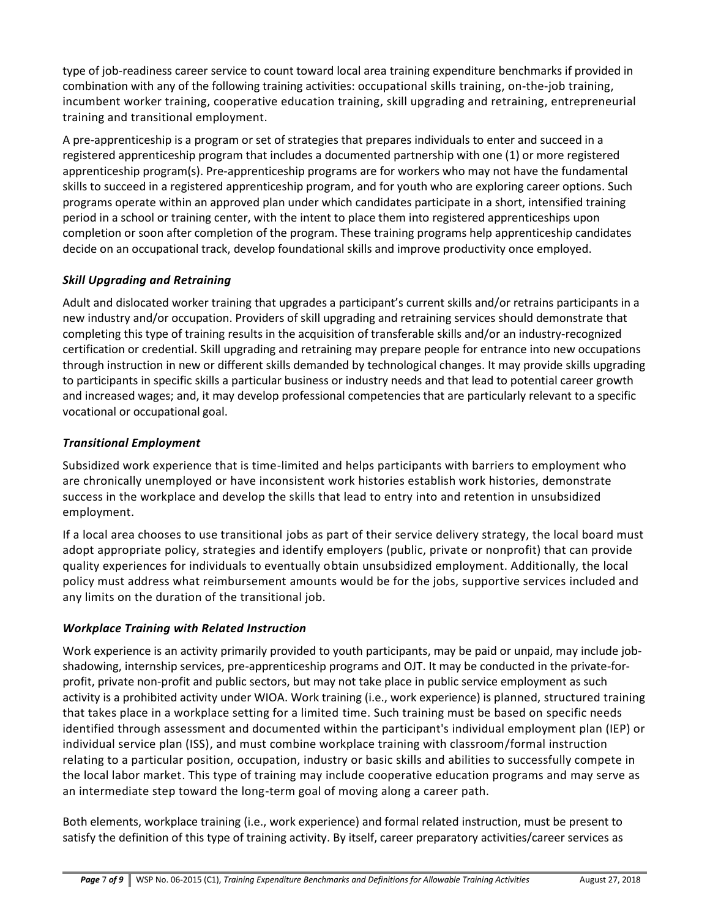type of job-readiness career service to count toward local area training expenditure benchmarks if provided in combination with any of the following training activities: occupational skills training, on-the-job training, incumbent worker training, cooperative education training, skill upgrading and retraining, entrepreneurial training and transitional employment.

A pre-apprenticeship is a program or set of strategies that prepares individuals to enter and succeed in a registered apprenticeship program that includes a documented partnership with one (1) or more registered apprenticeship program(s). Pre-apprenticeship programs are for workers who may not have the fundamental skills to succeed in a registered apprenticeship program, and for youth who are exploring career options. Such programs operate within an approved plan under which candidates participate in a short, intensified training period in a school or training center, with the intent to place them into registered apprenticeships upon completion or soon after completion of the program. These training programs help apprenticeship candidates decide on an occupational track, develop foundational skills and improve productivity once employed.

## *Skill Upgrading and Retraining*

Adult and dislocated worker training that upgrades a participant's current skills and/or retrains participants in a new industry and/or occupation. Providers of skill upgrading and retraining services should demonstrate that completing this type of training results in the acquisition of transferable skills and/or an industry-recognized certification or credential. Skill upgrading and retraining may prepare people for entrance into new occupations through instruction in new or different skills demanded by technological changes. It may provide skills upgrading to participants in specific skills a particular business or industry needs and that lead to potential career growth and increased wages; and, it may develop professional competencies that are particularly relevant to a specific vocational or occupational goal.

## *Transitional Employment*

Subsidized work experience that is time-limited and helps participants with barriers to employment who are chronically unemployed or have inconsistent work histories establish work histories, demonstrate success in the workplace and develop the skills that lead to entry into and retention in unsubsidized employment.

If a local area chooses to use transitional jobs as part of their service delivery strategy, the local board must adopt appropriate policy, strategies and identify employers (public, private or nonprofit) that can provide quality experiences for individuals to eventually obtain unsubsidized employment. Additionally, the local policy must address what reimbursement amounts would be for the jobs, supportive services included and any limits on the duration of the transitional job.

## *Workplace Training with Related Instruction*

Work experience is an activity primarily provided to youth participants, may be paid or unpaid, may include jobshadowing, internship services, pre-apprenticeship programs and OJT. It may be conducted in the private-forprofit, private non-profit and public sectors, but may not take place in public service employment as such activity is a prohibited activity under WIOA. Work training (i.e., work experience) is planned, structured training that takes place in a workplace setting for a limited time. Such training must be based on specific needs identified through assessment and documented within the participant's individual employment plan (IEP) or individual service plan (ISS), and must combine workplace training with classroom/formal instruction relating to a particular position, occupation, industry or basic skills and abilities to successfully compete in the local labor market. This type of training may include cooperative education programs and may serve as an intermediate step toward the long-term goal of moving along a career path.

Both elements, workplace training (i.e., work experience) and formal related instruction, must be present to satisfy the definition of this type of training activity. By itself, career preparatory activities/career services as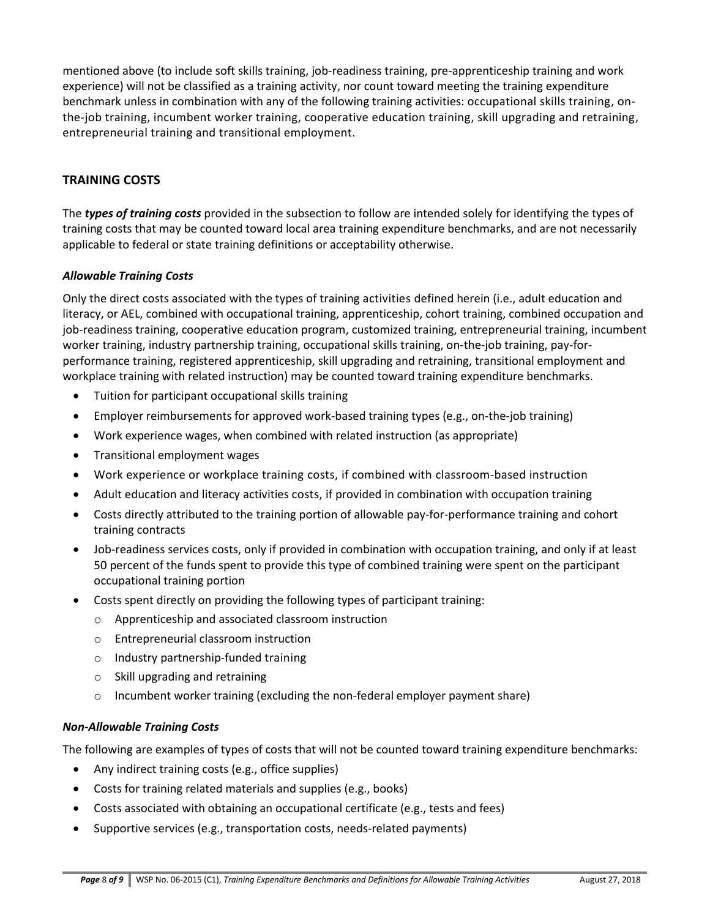mentioned above (to include soft skills training, job-readiness training, pre-apprenticeship training and work experience) will not be classified as a training activity, nor count toward meeting the training expenditure benchmark unless in combination with any of the following training activities: occupational skills training, onthe-job training, incumbent worker training, cooperative education training, skill upgrading and retraining, entrepreneurial training and transitional employment.

## **TRAINING COSTS**

The *types of training costs* provided in the subsection to follow are intended solely for identifying the types of training costs that may be counted toward local area training expenditure benchmarks, and are not necessarily applicable to federal or state training definitions or acceptability otherwise.

#### *Allowable Training Costs*

Only the direct costs associated with the types of training activities defined herein (i.e., adult education and literacy, or AEL, combined with occupational training, apprenticeship, cohort training, combined occupation and job-readiness training, cooperative education program, customized training, entrepreneurial training, incumbent worker training, industry partnership training, occupational skills training, on-the-job training, pay-forperformance training, registered apprenticeship, skill upgrading and retraining, transitional employment and workplace training with related instruction) may be counted toward training expenditure benchmarks.

- Tuition for participant occupational skills training
- Employer reimbursements for approved work-based training types (e.g., on-the-job training)
- Work experience wages, when combined with related instruction (as appropriate)
- Transitional employment wages
- Work experience or workplace training costs, if combined with classroom-based instruction
- Adult education and literacy activities costs, if provided in combination with occupation training
- Costs directly attributed to the training portion of allowable pay-for-performance training and cohort training contracts
- Job-readiness services costs, only if provided in combination with occupation training, and only if at least 50 percent of the funds spent to provide this type of combined training were spent on the participant occupational training portion
- Costs spent directly on providing the following types of participant training:
	- o Apprenticeship and associated classroom instruction
	- o Entrepreneurial classroom instruction
	- o Industry partnership-funded training
	- o Skill upgrading and retraining
	- $\circ$  Incumbent worker training (excluding the non-federal employer payment share)

#### *Non-Allowable Training Costs*

The following are examples of types of costs that will not be counted toward training expenditure benchmarks:

- Any indirect training costs (e.g., office supplies)
- Costs for training related materials and supplies (e.g., books)
- Costs associated with obtaining an occupational certificate (e.g., tests and fees)
- Supportive services (e.g., transportation costs, needs-related payments)